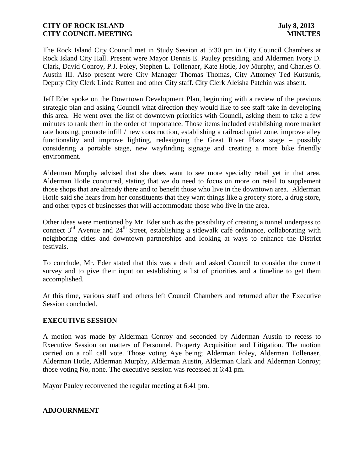The Rock Island City Council met in Study Session at 5:30 pm in City Council Chambers at Rock Island City Hall. Present were Mayor Dennis E. Pauley presiding, and Aldermen Ivory D. Clark, David Conroy, P.J. Foley, Stephen L. Tollenaer, Kate Hotle, Joy Murphy, and Charles O. Austin III. Also present were City Manager Thomas Thomas, City Attorney Ted Kutsunis, Deputy City Clerk Linda Rutten and other City staff. City Clerk Aleisha Patchin was absent.

Jeff Eder spoke on the Downtown Development Plan, beginning with a review of the previous strategic plan and asking Council what direction they would like to see staff take in developing this area. He went over the list of downtown priorities with Council, asking them to take a few minutes to rank them in the order of importance. Those items included establishing more market rate housing, promote infill / new construction, establishing a railroad quiet zone, improve alley functionality and improve lighting, redesigning the Great River Plaza stage – possibly considering a portable stage, new wayfinding signage and creating a more bike friendly environment.

Alderman Murphy advised that she does want to see more specialty retail yet in that area. Alderman Hotle concurred, stating that we do need to focus on more on retail to supplement those shops that are already there and to benefit those who live in the downtown area. Alderman Hotle said she hears from her constituents that they want things like a grocery store, a drug store, and other types of businesses that will accommodate those who live in the area.

Other ideas were mentioned by Mr. Eder such as the possibility of creating a tunnel underpass to connect 3<sup>rd</sup> Avenue and 24<sup>th</sup> Street, establishing a sidewalk café ordinance, collaborating with neighboring cities and downtown partnerships and looking at ways to enhance the District festivals.

To conclude, Mr. Eder stated that this was a draft and asked Council to consider the current survey and to give their input on establishing a list of priorities and a timeline to get them accomplished.

At this time, various staff and others left Council Chambers and returned after the Executive Session concluded.

### **EXECUTIVE SESSION**

A motion was made by Alderman Conroy and seconded by Alderman Austin to recess to Executive Session on matters of Personnel, Property Acquisition and Litigation. The motion carried on a roll call vote. Those voting Aye being; Alderman Foley, Alderman Tollenaer, Alderman Hotle, Alderman Murphy, Alderman Austin, Alderman Clark and Alderman Conroy; those voting No, none. The executive session was recessed at 6:41 pm.

Mayor Pauley reconvened the regular meeting at 6:41 pm.

### **ADJOURNMENT**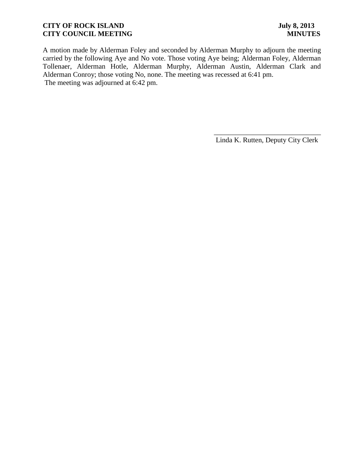A motion made by Alderman Foley and seconded by Alderman Murphy to adjourn the meeting carried by the following Aye and No vote. Those voting Aye being; Alderman Foley, Alderman Tollenaer, Alderman Hotle, Alderman Murphy, Alderman Austin, Alderman Clark and Alderman Conroy; those voting No, none. The meeting was recessed at 6:41 pm. The meeting was adjourned at 6:42 pm.

\_\_\_\_\_\_\_\_\_\_\_\_\_\_\_\_\_\_\_\_\_\_\_\_\_\_\_\_\_\_ Linda K. Rutten, Deputy City Clerk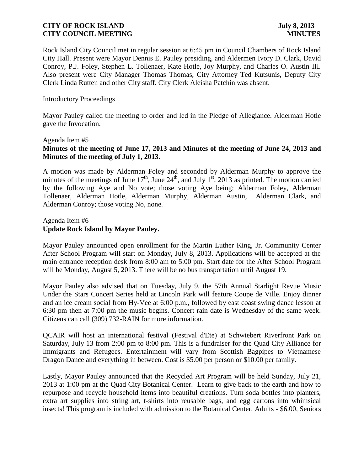Rock Island City Council met in regular session at 6:45 pm in Council Chambers of Rock Island City Hall. Present were Mayor Dennis E. Pauley presiding, and Aldermen Ivory D. Clark, David Conroy, P.J. Foley, Stephen L. Tollenaer, Kate Hotle, Joy Murphy, and Charles O. Austin III. Also present were City Manager Thomas Thomas, City Attorney Ted Kutsunis, Deputy City Clerk Linda Rutten and other City staff. City Clerk Aleisha Patchin was absent.

#### Introductory Proceedings

Mayor Pauley called the meeting to order and led in the Pledge of Allegiance. Alderman Hotle gave the Invocation.

#### Agenda Item #5

# **[Minutes of the meeting of June 17, 2013](http://www.rigov.org/DocumentCenter/View/5812) and [Minutes of the meeting of June 24, 2013](http://www.rigov.org/DocumentCenter/View/5805) and [Minutes of the meeting of July 1, 2013.](http://www.rigov.org/DocumentCenter/View/5806)**

A motion was made by Alderman Foley and seconded by Alderman Murphy to approve the minutes of the meetings of June  $17<sup>th</sup>$ , June  $24<sup>th</sup>$ , and July  $1<sup>st</sup>$ , 2013 as printed. The motion carried by the following Aye and No vote; those voting Aye being; Alderman Foley, Alderman Tollenaer, Alderman Hotle, Alderman Murphy, Alderman Austin, Alderman Clark, and Alderman Conroy; those voting No, none.

### Agenda Item #6 **Update Rock Island by Mayor Pauley.**

Mayor Pauley announced open enrollment for the Martin Luther King, Jr. Community Center After School Program will start on Monday, July 8, 2013. Applications will be accepted at the main entrance reception desk from 8:00 am to 5:00 pm. Start date for the After School Program will be Monday, August 5, 2013. There will be no bus transportation until August 19.

Mayor Pauley also advised that on Tuesday, July 9, the 57th Annual Starlight Revue Music Under the Stars Concert Series held at Lincoln Park will feature Coupe de Ville. Enjoy dinner and an ice cream social from Hy-Vee at 6:00 p.m., followed by east coast swing dance lesson at 6:30 pm then at 7:00 pm the music begins. Concert rain date is Wednesday of the same week. Citizens can call (309) 732-RAIN for more information.

QCAIR will host an international festival (Festival d'Ete) at Schwiebert Riverfront Park on Saturday, July 13 from 2:00 pm to 8:00 pm. This is a fundraiser for the Quad City Alliance for Immigrants and Refugees. Entertainment will vary from Scottish Bagpipes to Vietnamese Dragon Dance and everything in between. Cost is \$5.00 per person or \$10.00 per family.

Lastly, Mayor Pauley announced that the Recycled Art Program will be held Sunday, July 21, 2013 at 1:00 pm at the Quad City Botanical Center. Learn to give back to the earth and how to repurpose and recycle household items into beautiful creations. Turn soda bottles into planters, extra art supplies into string art, t-shirts into reusable bags, and egg cartons into whimsical insects! This program is included with admission to the Botanical Center. Adults - \$6.00, Seniors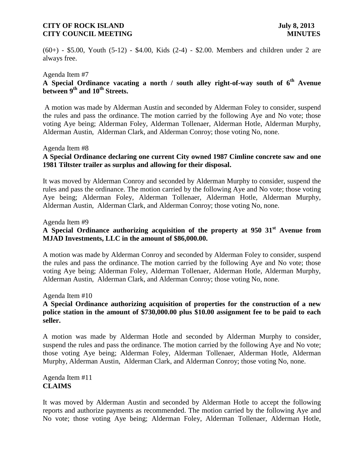(60+) - \$5.00, Youth (5-12) - \$4.00, Kids (2-4) - \$2.00. Members and children under 2 are always free.

#### Agenda Item #7

# **A Special Ordinance vacating a north / south alley right-of-way south of 6th Avenue between 9th and 10th Streets.**

A motion was made by Alderman Austin and seconded by Alderman Foley to consider, suspend the rules and pass the ordinance. The motion carried by the following Aye and No vote; those voting Aye being; Alderman Foley, Alderman Tollenaer, Alderman Hotle, Alderman Murphy, Alderman Austin, Alderman Clark, and Alderman Conroy; those voting No, none.

#### Agenda Item #8

# **A Special Ordinance declaring one current City owned 1987 Cimline concrete saw and one 1981 Tiltster trailer as surplus and allowing for their disposal.**

It was moved by Alderman Conroy and seconded by Alderman Murphy to consider, suspend the rules and pass the ordinance. The motion carried by the following Aye and No vote; those voting Aye being; Alderman Foley, Alderman Tollenaer, Alderman Hotle, Alderman Murphy, Alderman Austin, Alderman Clark, and Alderman Conroy; those voting No, none.

#### Agenda Item #9

# **A Special Ordinance authorizing acquisition of the property at 950 31st Avenue from MJAD Investments, LLC in the amount of \$86,000.00.**

A motion was made by Alderman Conroy and seconded by Alderman Foley to consider, suspend the rules and pass the ordinance. The motion carried by the following Aye and No vote; those voting Aye being; Alderman Foley, Alderman Tollenaer, Alderman Hotle, Alderman Murphy, Alderman Austin, Alderman Clark, and Alderman Conroy; those voting No, none.

#### Agenda Item #10

# **A Special Ordinance authorizing acquisition of properties for the construction of a new police station in the amount of \$730,000.00 plus \$10.00 assignment fee to be paid to each seller.**

A motion was made by Alderman Hotle and seconded by Alderman Murphy to consider, suspend the rules and pass the ordinance. The motion carried by the following Aye and No vote; those voting Aye being; Alderman Foley, Alderman Tollenaer, Alderman Hotle, Alderman Murphy, Alderman Austin, Alderman Clark, and Alderman Conroy; those voting No, none.

#### Agenda Item #11 **CLAIMS**

It was moved by Alderman Austin and seconded by Alderman Hotle to accept the following reports and authorize payments as recommended. The motion carried by the following Aye and No vote; those voting Aye being; Alderman Foley, Alderman Tollenaer, Alderman Hotle,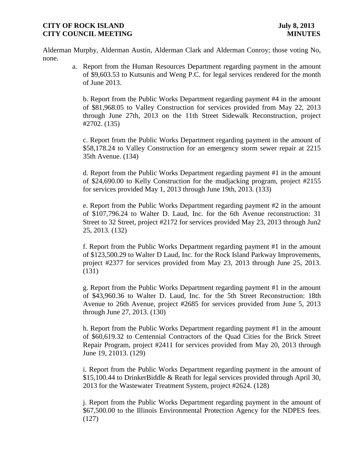Alderman Murphy, Alderman Austin, Alderman Clark and Alderman Conroy; those voting No, none.

> a. [Report from the Human Resources Department regarding payment in the amount](http://www.rigov.org/DocumentCenter/View/5793)  [of \\$9,603.53 to Kutsunis and Weng P.C. for legal services rendered for the month](http://www.rigov.org/DocumentCenter/View/5793)  [of June 2013.](http://www.rigov.org/DocumentCenter/View/5793)

[b. Report from the Public Works Department regarding payment #4 in the amount](http://www.rigov.org/DocumentCenter/View/5791) [of \\$81,968.05 to Valley Construction for services provided from May 22, 2013](http://www.rigov.org/DocumentCenter/View/5791)  [through June 27th, 2013 on the 11th Street Sidewalk Reconstruction, project](http://www.rigov.org/DocumentCenter/View/5791)  [#2702. \(135\)](http://www.rigov.org/DocumentCenter/View/5791)

[c. Report from the Public Works Department regarding payment in the amount of](http://www.rigov.org/DocumentCenter/View/5797)  [\\$58,178.24 to Valley Construction for an emergency storm sewer repair at 2215](http://www.rigov.org/DocumentCenter/View/5797)  [35th Avenue. \(134\)](http://www.rigov.org/DocumentCenter/View/5797)

[d. Report from the Public Works Department regarding payment #1 in the amount](http://www.rigov.org/DocumentCenter/View/5795)  [of \\$24,690.00 to Kelly Construction for the mudjacking program, project #2155](http://www.rigov.org/DocumentCenter/View/5795)  [for services provided May 1, 2013 through June 19th, 2013. \(133\)](http://www.rigov.org/DocumentCenter/View/5795)

[e. Report from the Public Works Department regarding payment #2 in the amount](http://www.rigov.org/DocumentCenter/View/5790)  [of \\$107,796.24 to Walter D. Laud, Inc. for the 6th Avenue reconstruction: 31](http://www.rigov.org/DocumentCenter/View/5790)  [Street to 32 Street, project #2172 for services provided May 23, 2013 through Jun2](http://www.rigov.org/DocumentCenter/View/5790)  [25, 2013. \(132\)](http://www.rigov.org/DocumentCenter/View/5790)

[f. Report from the Public Works Department regarding payment #1 in the amount](http://www.rigov.org/DocumentCenter/View/5796)  [of \\$123,500.29 to Walter D Laud, Inc. for the Rock Island Parkway Improvements,](http://www.rigov.org/DocumentCenter/View/5796)  project #2377 [for services provided from May 23, 2013 through June 25, 2013.](http://www.rigov.org/DocumentCenter/View/5796)  [\(131\)](http://www.rigov.org/DocumentCenter/View/5796)

[g. Report from the Public Works Department regarding payment #1 in the amount](http://www.rigov.org/DocumentCenter/View/5789)  [of \\$43,960.36 to Walter D. Laud, Inc. for the 5th Street Reconstruction: 18th](http://www.rigov.org/DocumentCenter/View/5789)  [Avenue to 26th Avenue, project #2685 for services provided from June 5, 2013](http://www.rigov.org/DocumentCenter/View/5789)  [through June 27, 2013. \(130\)](http://www.rigov.org/DocumentCenter/View/5789)

[h. Report from the Public Works Department regarding payment #1 in the amount](http://www.rigov.org/DocumentCenter/View/5792)  [of \\$60,619.32 to Centennial Contractors of the Quad Cities for the Brick Street](http://www.rigov.org/DocumentCenter/View/5792)  [Repair Program, project #2411 for services provided from May 20, 2013 through](http://www.rigov.org/DocumentCenter/View/5792)  [June 19, 21013. \(129\)](http://www.rigov.org/DocumentCenter/View/5792)

[i. Report from the Public Works Department regarding payment in the amount of](http://www.rigov.org/DocumentCenter/View/5798)  [\\$15,100.44 to DrinkerBiddle & Reath for legal services provided through April 30,](http://www.rigov.org/DocumentCenter/View/5798)  [2013 for the Wastewater Treatment System, project #2624. \(128\)](http://www.rigov.org/DocumentCenter/View/5798)

[j. Report from the Public Works Department regarding payment in the amount of](http://www.rigov.org/DocumentCenter/View/5794)  [\\$67,500.00 to the Illinois Environmental Protection Agency for the NDPES fees.](http://www.rigov.org/DocumentCenter/View/5794)  [\(127\)](http://www.rigov.org/DocumentCenter/View/5794)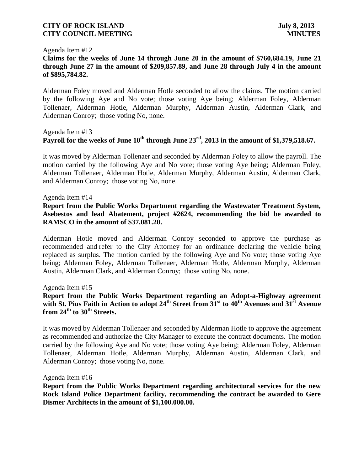#### Agenda Item #12

# **Claims for the weeks of [June 14 through June 20](http://www.rigov.org/DocumentCenter/View/5765) in the amount of \$760,684.19, [June 21](http://www.rigov.org/DocumentCenter/View/5799)  [through June 27 i](http://www.rigov.org/DocumentCenter/View/5799)n the amount of \$209,857.89, and [June 28 through July 4](http://www.rigov.org/DocumentCenter/View/5800) in the amount of \$895,784.82.**

 Alderman Foley moved and Alderman Hotle seconded to allow the claims. The motion carried by the following Aye and No vote; those voting Aye being; Alderman Foley, Alderman Tollenaer, Alderman Hotle, Alderman Murphy, Alderman Austin, Alderman Clark, and Alderman Conroy; those voting No, none.

### Agenda Item #13 **Payroll for the weeks of June 10th through June 23rd, 2013 in the amount of \$1,379,518.67.**

It was moved by Alderman Tollenaer and seconded by Alderman Foley to allow the payroll. The motion carried by the following Aye and No vote; those voting Aye being; Alderman Foley, Alderman Tollenaer, Alderman Hotle, Alderman Murphy, Alderman Austin, Alderman Clark, and Alderman Conroy; those voting No, none.

#### Agenda Item #14

### **Report from the Public Works Department regarding the Wastewater Treatment System, Asebestos and lead Abatement, project #2624, recommending the bid be awarded to RAMSCO in the amount of \$37,081.20.**

Alderman Hotle moved and Alderman Conroy seconded to approve the purchase as recommended and refer to the City Attorney for an ordinance declaring the vehicle being replaced as surplus. The motion carried by the following Aye and No vote; those voting Aye being; Alderman Foley, Alderman Tollenaer, Alderman Hotle, Alderman Murphy, Alderman Austin, Alderman Clark, and Alderman Conroy; those voting No, none.

Agenda Item #15

# **Report from the Public Works Department regarding an Adopt-a-Highway agreement with St. Pius Faith in Action to adopt 24th Street from 31st to 40th Avenues and 31st Avenue from 24th to 30th Streets.**

It was moved by Alderman Tollenaer and seconded by Alderman Hotle to approve the agreement as recommended and authorize the City Manager to execute the contract documents. The motion carried by the following Aye and No vote; those voting Aye being; Alderman Foley, Alderman Tollenaer, Alderman Hotle, Alderman Murphy, Alderman Austin, Alderman Clark, and Alderman Conroy; those voting No, none.

#### Agenda Item #16

**Report from the Public Works Department regarding architectural services for the new Rock Island Police Department facility, recommending the contract be awarded to Gere Dismer Architects in the amount of \$1,100.000.00.**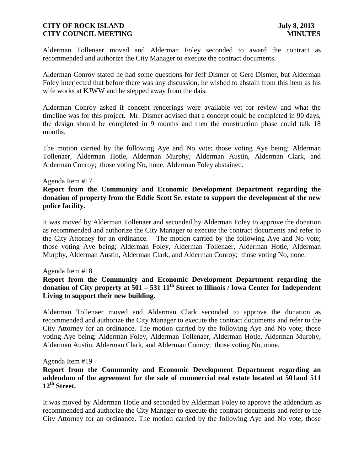Alderman Tollenaer moved and Alderman Foley seconded to award the contract as recommended and authorize the City Manager to execute the contract documents.

Alderman Conroy stated he had some questions for Jeff Dismer of Gere Dismer, but Alderman Foley interjected that before there was any discussion, he wished to abstain from this item as his wife works at KJWW and he stepped away from the dais.

Alderman Conroy asked if concept renderings were available yet for review and what the timeline was for this project. Mr. Dismer advised that a concept could be completed in 90 days, the design should be completed in 9 months and then the construction phase could talk 18 months.

The motion carried by the following Aye and No vote; those voting Aye being; Alderman Tollenaer, Alderman Hotle, Alderman Murphy, Alderman Austin, Alderman Clark, and Alderman Conroy; those voting No, none. Alderman Foley abstained.

#### Agenda Item #17

# **Report from the Community and Economic Development Department regarding the donation of property from the Eddie Scott Sr. estate to support the development of the new police facility.**

It was moved by Alderman Tollenaer and seconded by Alderman Foley to approve the donation as recommended and authorize the City Manager to execute the contract documents and refer to the City Attorney for an ordinance. The motion carried by the following Aye and No vote; those voting Aye being; Alderman Foley, Alderman Tollenaer, Alderman Hotle, Alderman Murphy, Alderman Austin, Alderman Clark, and Alderman Conroy; those voting No, none.

### Agenda Item #18

# **Report from the Community and Economic Development Department regarding the donation of City property at 501 – 531 11th Street to Illinois / Iowa Center for Independent Living to support their new building.**

Alderman Tollenaer moved and Alderman Clark seconded to approve the donation as recommended and authorize the City Manager to execute the contract documents and refer to the City Attorney for an ordinance. The motion carried by the following Aye and No vote; those voting Aye being; Alderman Foley, Alderman Tollenaer, Alderman Hotle, Alderman Murphy, Alderman Austin, Alderman Clark, and Alderman Conroy; those voting No, none.

#### Agenda Item #19

### **Report from the Community and Economic Development Department regarding an addendum of the agreement for the sale of commercial real estate located at 501and 511 12th Street.**

It was moved by Alderman Hotle and seconded by Alderman Foley to approve the addendum as recommended and authorize the City Manager to execute the contract documents and refer to the City Attorney for an ordinance. The motion carried by the following Aye and No vote; those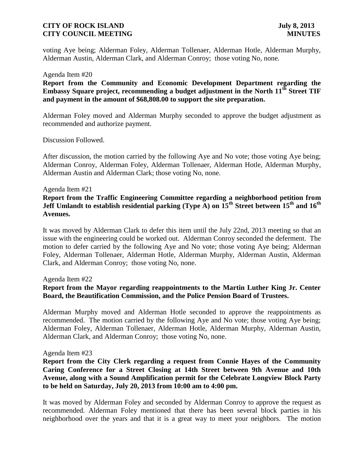voting Aye being; Alderman Foley, Alderman Tollenaer, Alderman Hotle, Alderman Murphy, Alderman Austin, Alderman Clark, and Alderman Conroy; those voting No, none.

#### Agenda Item #20

**Report from the Community and Economic Development Department regarding the Embassy Square project, recommending a budget adjustment in the North 11th Street TIF and payment in the amount of \$68,808.00 to support the site preparation.**

Alderman Foley moved and Alderman Murphy seconded to approve the budget adjustment as recommended and authorize payment.

Discussion Followed.

After discussion, the motion carried by the following Aye and No vote; those voting Aye being; Alderman Conroy, Alderman Foley, Alderman Tollenaer, Alderman Hotle, Alderman Murphy, Alderman Austin and Alderman Clark; those voting No, none.

#### Agenda Item #21

**Report from the Traffic Engineering Committee regarding a neighborhood petition from Jeff Umlandt to establish residential parking (Type A) on 15th Street between 15th and 16th Avenues.**

It was moved by Alderman Clark to defer this item until the July 22nd, 2013 meeting so that an issue with the engineering could be worked out. Alderman Conroy seconded the deferment. The motion to defer carried by the following Aye and No vote; those voting Aye being; Alderman Foley, Alderman Tollenaer, Alderman Hotle, Alderman Murphy, Alderman Austin, Alderman Clark, and Alderman Conroy; those voting No, none.

#### Agenda Item #22

### **Report from the Mayor regarding reappointments to the Martin Luther King Jr. Center Board, the Beautification Commission, and the Police Pension Board of Trustees.**

Alderman Murphy moved and Alderman Hotle seconded to approve the reappointments as recommended. The motion carried by the following Aye and No vote; those voting Aye being; Alderman Foley, Alderman Tollenaer, Alderman Hotle, Alderman Murphy, Alderman Austin, Alderman Clark, and Alderman Conroy; those voting No, none.

#### Agenda Item #23

### **Report from the City Clerk regarding a request from Connie Hayes of the Community Caring Conference for a Street Closing at 14th Street between 9th Avenue and 10th Avenue, along with a Sound Amplification permit for the Celebrate Longview Block Party to be held on Saturday, July 20, 2013 from 10:00 am to 4:00 pm.**

It was moved by Alderman Foley and seconded by Alderman Conroy to approve the request as recommended. Alderman Foley mentioned that there has been several block parties in his neighborhood over the years and that it is a great way to meet your neighbors. The motion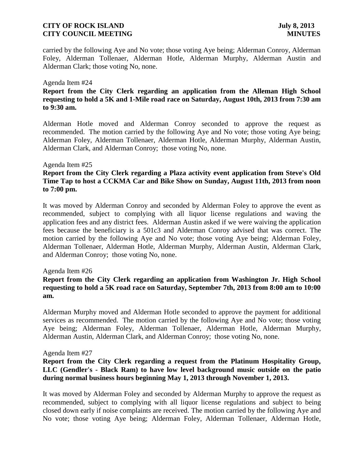carried by the following Aye and No vote; those voting Aye being; Alderman Conroy, Alderman Foley, Alderman Tollenaer, Alderman Hotle, Alderman Murphy, Alderman Austin and Alderman Clark; those voting No, none.

#### Agenda Item #24

# **Report from the City Clerk regarding an application from the Alleman High School requesting to hold a 5K and 1-Mile road race on Saturday, August 10th, 2013 from 7:30 am to 9:30 am.**

Alderman Hotle moved and Alderman Conroy seconded to approve the request as recommended. The motion carried by the following Aye and No vote; those voting Aye being; Alderman Foley, Alderman Tollenaer, Alderman Hotle, Alderman Murphy, Alderman Austin, Alderman Clark, and Alderman Conroy; those voting No, none.

#### Agenda Item #25

# **Report from the City Clerk regarding a Plaza activity event application from Steve's Old Time Tap to host a CCKMA Car and Bike Show on Sunday, August 11th, 2013 from noon to 7:00 pm.**

It was moved by Alderman Conroy and seconded by Alderman Foley to approve the event as recommended, subject to complying with all liquor license regulations and waving the application fees and any district fees. Alderman Austin asked if we were waiving the application fees because the beneficiary is a 501c3 and Alderman Conroy advised that was correct. The motion carried by the following Aye and No vote; those voting Aye being; Alderman Foley, Alderman Tollenaer, Alderman Hotle, Alderman Murphy, Alderman Austin, Alderman Clark, and Alderman Conroy; those voting No, none.

### Agenda Item #26

# **Report from the City Clerk regarding an application from Washington Jr. High School requesting to hold a 5K road race on Saturday, September 7th, 2013 from 8:00 am to 10:00 am.**

Alderman Murphy moved and Alderman Hotle seconded to approve the payment for additional services as recommended. The motion carried by the following Aye and No vote; those voting Aye being; Alderman Foley, Alderman Tollenaer, Alderman Hotle, Alderman Murphy, Alderman Austin, Alderman Clark, and Alderman Conroy; those voting No, none.

### Agenda Item #27

# **Report from the City Clerk regarding a request from the Platinum Hospitality Group, LLC (Gendler's - Black Ram) to have low level background music outside on the patio during normal business hours beginning May 1, 2013 through November 1, 2013.**

It was moved by Alderman Foley and seconded by Alderman Murphy to approve the request as recommended, subject to complying with all liquor license regulations and subject to being closed down early if noise complaints are received. The motion carried by the following Aye and No vote; those voting Aye being; Alderman Foley, Alderman Tollenaer, Alderman Hotle,